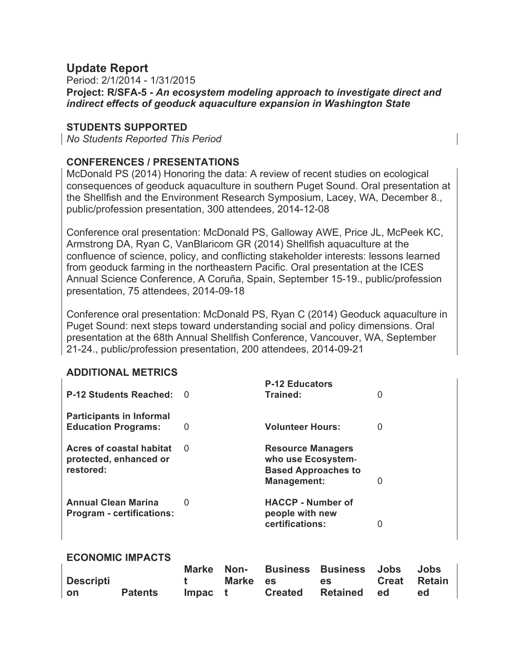# **Update Report**

Period: 2/1/2014 - 1/31/2015 **Project: R/SFA-5 -** *An ecosystem modeling approach to investigate direct and indirect effects of geoduck aquaculture expansion in Washington State*

## **STUDENTS SUPPORTED**

*No Students Reported This Period*

## **CONFERENCES / PRESENTATIONS**

McDonald PS (2014) Honoring the data: A review of recent studies on ecological consequences of geoduck aquaculture in southern Puget Sound. Oral presentation at the Shellfish and the Environment Research Symposium, Lacey, WA, December 8., public/profession presentation, 300 attendees, 2014-12-08

Conference oral presentation: McDonald PS, Galloway AWE, Price JL, McPeek KC, Armstrong DA, Ryan C, VanBlaricom GR (2014) Shellfish aquaculture at the confluence of science, policy, and conflicting stakeholder interests: lessons learned from geoduck farming in the northeastern Pacific. Oral presentation at the ICES Annual Science Conference, A Coruña, Spain, September 15-19., public/profession presentation, 75 attendees, 2014-09-18

Conference oral presentation: McDonald PS, Ryan C (2014) Geoduck aquaculture in Puget Sound: next steps toward understanding social and policy dimensions. Oral presentation at the 68th Annual Shellfish Conference, Vancouver, WA, September 21-24., public/profession presentation, 200 attendees, 2014-09-21

### **ADDITIONAL METRICS**

| <b>P-12 Students Reached:</b>                                   | - 0          | <b>P-12 Educators</b><br>Trained:                                                                  | 0 |
|-----------------------------------------------------------------|--------------|----------------------------------------------------------------------------------------------------|---|
| <b>Participants in Informal</b><br><b>Education Programs:</b>   | 0            | <b>Volunteer Hours:</b>                                                                            | 0 |
| Acres of coastal habitat<br>protected, enhanced or<br>restored: | <sup>0</sup> | <b>Resource Managers</b><br>who use Ecosystem-<br><b>Based Approaches to</b><br><b>Management:</b> | 0 |
| <b>Annual Clean Marina</b><br><b>Program - certifications:</b>  | 0            | <b>HACCP - Number of</b><br>people with new<br>certifications:                                     | 0 |

### **ECONOMIC IMPACTS**

|           |                |                   |                | Marke Non- Business Business Jobs Jobs |              |
|-----------|----------------|-------------------|----------------|----------------------------------------|--------------|
| Descripti |                | <b>The Common</b> | Marke es es es |                                        | Creat Retain |
| on        | <b>Patents</b> | Impact            |                | Created Retained ed                    | ed           |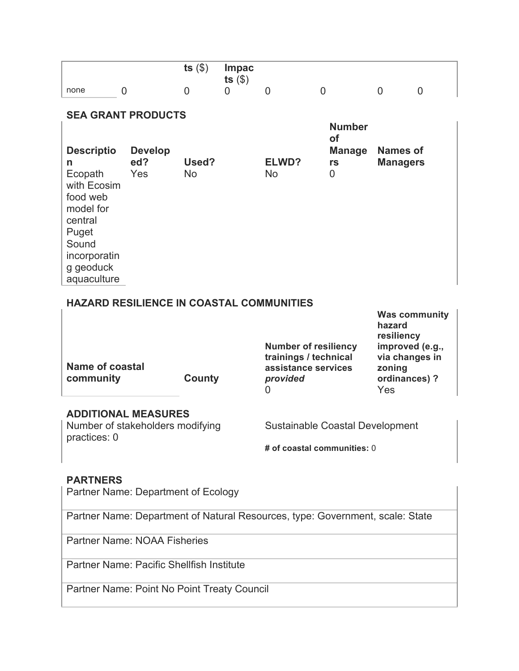|                                                                                                   |                                                 | ts $(\$)$          | <b>Impac</b><br>ts $($ math) |                                                                                              |                                                 |                                                                     |  |  |
|---------------------------------------------------------------------------------------------------|-------------------------------------------------|--------------------|------------------------------|----------------------------------------------------------------------------------------------|-------------------------------------------------|---------------------------------------------------------------------|--|--|
| none                                                                                              | 0                                               | $\overline{0}$     | $\Omega$                     | $\overline{0}$                                                                               | $\overline{0}$                                  | $\overline{0}$<br>$\overline{0}$                                    |  |  |
| <b>SEA GRANT PRODUCTS</b>                                                                         |                                                 |                    |                              |                                                                                              |                                                 |                                                                     |  |  |
| <b>Descriptio</b><br>n<br>Ecopath<br>with Ecosim                                                  | <b>Develop</b><br>ed?<br>Yes                    | Used?<br><b>No</b> |                              | ELWD?<br><b>No</b>                                                                           | <b>Number</b><br>of<br><b>Manage</b><br>rs<br>0 | <b>Names of</b><br><b>Managers</b>                                  |  |  |
| food web<br>model for<br>central<br>Puget<br>Sound<br>incorporatin<br>g geoduck<br>aquaculture    |                                                 |                    |                              |                                                                                              |                                                 |                                                                     |  |  |
|                                                                                                   | <b>HAZARD RESILIENCE IN COASTAL COMMUNITIES</b> |                    |                              |                                                                                              |                                                 |                                                                     |  |  |
|                                                                                                   |                                                 |                    |                              |                                                                                              |                                                 | <b>Was community</b><br>hazard<br>resiliency                        |  |  |
| <b>Name of coastal</b><br>community                                                               |                                                 | County             |                              | <b>Number of resiliency</b><br>trainings / technical<br>assistance services<br>provided<br>0 |                                                 | improved (e.g.,<br>via changes in<br>zoning<br>ordinances) ?<br>Yes |  |  |
| <b>ADDITIONAL MEASURES</b><br>Number of stakeholders modifying<br>Sustainable Coastal Development |                                                 |                    |                              |                                                                                              |                                                 |                                                                     |  |  |
| practices: 0                                                                                      |                                                 |                    |                              | # of coastal communities: 0                                                                  |                                                 |                                                                     |  |  |
| <b>PARTNERS</b>                                                                                   |                                                 |                    |                              |                                                                                              |                                                 |                                                                     |  |  |
| Partner Name: Department of Ecology                                                               |                                                 |                    |                              |                                                                                              |                                                 |                                                                     |  |  |
| Partner Name: Department of Natural Resources, type: Government, scale: State                     |                                                 |                    |                              |                                                                                              |                                                 |                                                                     |  |  |

Partner Name: NOAA Fisheries

Partner Name: Pacific Shellfish Institute

Partner Name: Point No Point Treaty Council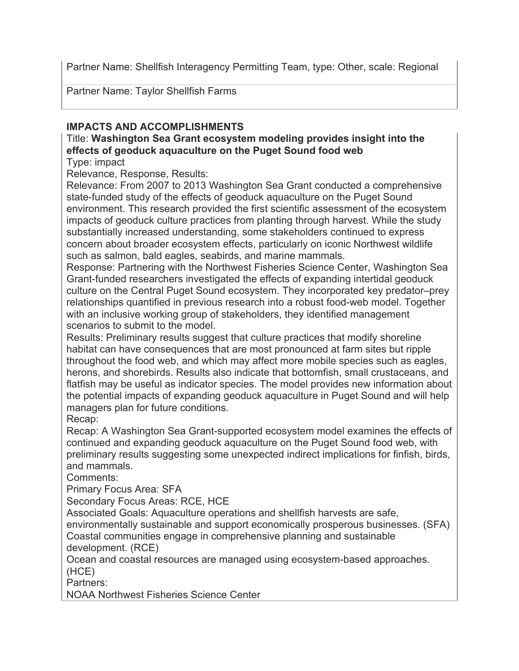Partner Name: Shellfish Interagency Permitting Team, type: Other, scale: Regional

Partner Name: Taylor Shellfish Farms

# **IMPACTS AND ACCOMPLISHMENTS**

Title: **Washington Sea Grant ecosystem modeling provides insight into the effects of geoduck aquaculture on the Puget Sound food web**

Type: impact

Relevance, Response, Results:

Relevance: From 2007 to 2013 Washington Sea Grant conducted a comprehensive state-funded study of the effects of geoduck aquaculture on the Puget Sound environment. This research provided the first scientific assessment of the ecosystem impacts of geoduck culture practices from planting through harvest. While the study substantially increased understanding, some stakeholders continued to express concern about broader ecosystem effects, particularly on iconic Northwest wildlife such as salmon, bald eagles, seabirds, and marine mammals.

Response: Partnering with the Northwest Fisheries Science Center, Washington Sea Grant-funded researchers investigated the effects of expanding intertidal geoduck culture on the Central Puget Sound ecosystem. They incorporated key predator–prey relationships quantified in previous research into a robust food-web model. Together with an inclusive working group of stakeholders, they identified management scenarios to submit to the model.

Results: Preliminary results suggest that culture practices that modify shoreline habitat can have consequences that are most pronounced at farm sites but ripple throughout the food web, and which may affect more mobile species such as eagles, herons, and shorebirds. Results also indicate that bottomfish, small crustaceans, and flatfish may be useful as indicator species. The model provides new information about the potential impacts of expanding geoduck aquaculture in Puget Sound and will help managers plan for future conditions.

Recap:

Recap: A Washington Sea Grant-supported ecosystem model examines the effects of continued and expanding geoduck aquaculture on the Puget Sound food web, with preliminary results suggesting some unexpected indirect implications for finfish, birds, and mammals.

Comments:

Primary Focus Area: SFA

Secondary Focus Areas: RCE, HCE

Associated Goals: Aquaculture operations and shellfish harvests are safe,

environmentally sustainable and support economically prosperous businesses. (SFA) Coastal communities engage in comprehensive planning and sustainable development. (RCE)

Ocean and coastal resources are managed using ecosystem-based approaches. (HCE)

Partners:

NOAA Northwest Fisheries Science Center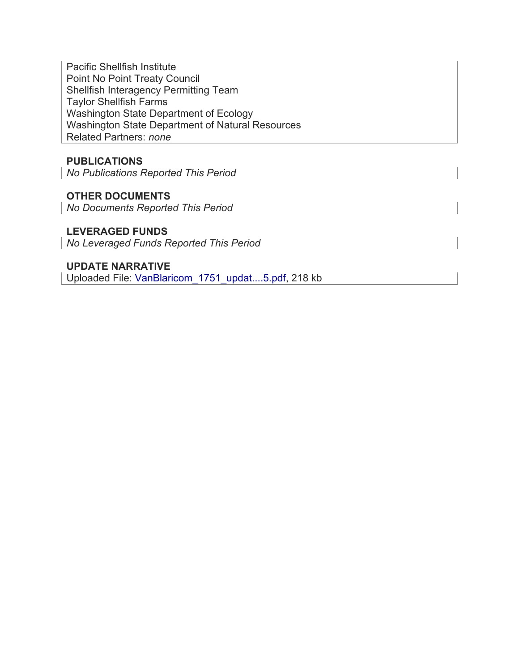Pacific Shellfish Institute Point No Point Treaty Council Shellfish Interagency Permitting Team Taylor Shellfish Farms Washington State Department of Ecology Washington State Department of Natural Resources Related Partners: *none*

## **PUBLICATIONS**

*No Publications Reported This Period*

# **OTHER DOCUMENTS**

*No Documents Reported This Period*

### **LEVERAGED FUNDS**

*No Leveraged Funds Reported This Period*

## **UPDATE NARRATIVE**

Uploaded File: VanBlaricom\_1751\_updat....5.pdf, 218 kb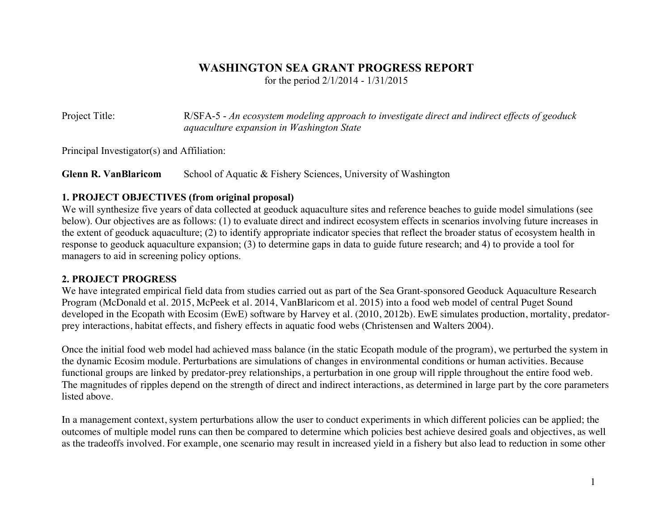## **WASHINGTON SEA GRANT PROGRESS REPORT**

for the period 2/1/2014 - 1/31/2015

Project Title: R/SFA-5 - *An ecosystem modeling approach to investigate direct and indirect effects of geoduck aquaculture expansion in Washington State*

Principal Investigator(s) and Affiliation:

**Glenn R. VanBlaricom** School of Aquatic & Fishery Sciences, University of Washington

## **1. PROJECT OBJECTIVES (from original proposal)**

We will synthesize five years of data collected at geoduck aquaculture sites and reference beaches to guide model simulations (see below). Our objectives are as follows: (1) to evaluate direct and indirect ecosystem effects in scenarios involving future increases in the extent of geoduck aquaculture; (2) to identify appropriate indicator species that reflect the broader status of ecosystem health in response to geoduck aquaculture expansion; (3) to determine gaps in data to guide future research; and 4) to provide a tool for managers to aid in screening policy options.

## **2. PROJECT PROGRESS**

We have integrated empirical field data from studies carried out as part of the Sea Grant-sponsored Geoduck Aquaculture Research Program (McDonald et al. 2015, McPeek et al. 2014, VanBlaricom et al. 2015) into a food web model of central Puget Sound developed in the Ecopath with Ecosim (EwE) software by Harvey et al. (2010, 2012b). EwE simulates production, mortality, predatorprey interactions, habitat effects, and fishery effects in aquatic food webs (Christensen and Walters 2004).

Once the initial food web model had achieved mass balance (in the static Ecopath module of the program), we perturbed the system in the dynamic Ecosim module. Perturbations are simulations of changes in environmental conditions or human activities. Because functional groups are linked by predator-prey relationships, a perturbation in one group will ripple throughout the entire food web. The magnitudes of ripples depend on the strength of direct and indirect interactions, as determined in large part by the core parameters listed above.

In a management context, system perturbations allow the user to conduct experiments in which different policies can be applied; the outcomes of multiple model runs can then be compared to determine which policies best achieve desired goals and objectives, as well as the tradeoffs involved. For example, one scenario may result in increased yield in a fishery but also lead to reduction in some other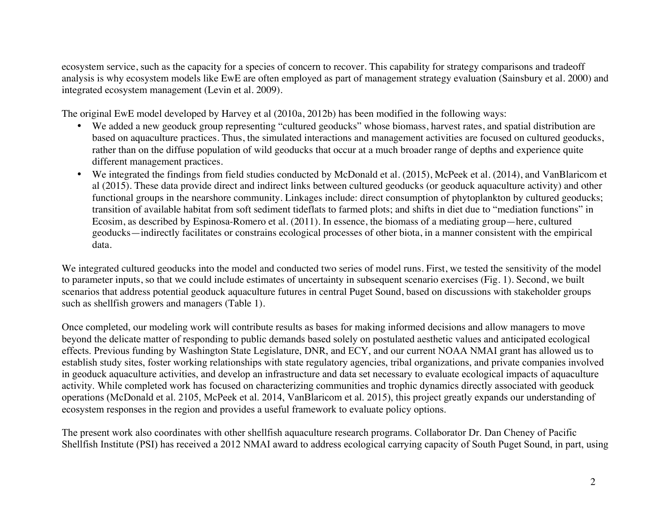ecosystem service, such as the capacity for a species of concern to recover. This capability for strategy comparisons and tradeoff analysis is why ecosystem models like EwE are often employed as part of management strategy evaluation (Sainsbury et al. 2000) and integrated ecosystem management (Levin et al. 2009).

The original EwE model developed by Harvey et al (2010a, 2012b) has been modified in the following ways:

- We added a new geoduck group representing "cultured geoducks" whose biomass, harvest rates, and spatial distribution are based on aquaculture practices. Thus, the simulated interactions and management activities are focused on cultured geoducks, rather than on the diffuse population of wild geoducks that occur at a much broader range of depths and experience quite different management practices.
- We integrated the findings from field studies conducted by McDonald et al. (2015), McPeek et al. (2014), and VanBlaricom et al (2015). These data provide direct and indirect links between cultured geoducks (or geoduck aquaculture activity) and other functional groups in the nearshore community. Linkages include: direct consumption of phytoplankton by cultured geoducks; transition of available habitat from soft sediment tideflats to farmed plots; and shifts in diet due to "mediation functions" in Ecosim, as described by Espinosa-Romero et al. (2011). In essence, the biomass of a mediating group—here, cultured geoducks—indirectly facilitates or constrains ecological processes of other biota, in a manner consistent with the empirical data.

We integrated cultured geoducks into the model and conducted two series of model runs. First, we tested the sensitivity of the model to parameter inputs, so that we could include estimates of uncertainty in subsequent scenario exercises (Fig. 1). Second, we built scenarios that address potential geoduck aquaculture futures in central Puget Sound, based on discussions with stakeholder groups such as shellfish growers and managers (Table 1).

Once completed, our modeling work will contribute results as bases for making informed decisions and allow managers to move beyond the delicate matter of responding to public demands based solely on postulated aesthetic values and anticipated ecological effects. Previous funding by Washington State Legislature, DNR, and ECY, and our current NOAA NMAI grant has allowed us to establish study sites, foster working relationships with state regulatory agencies, tribal organizations, and private companies involved in geoduck aquaculture activities, and develop an infrastructure and data set necessary to evaluate ecological impacts of aquaculture activity. While completed work has focused on characterizing communities and trophic dynamics directly associated with geoduck operations (McDonald et al. 2105, McPeek et al. 2014, VanBlaricom et al. 2015), this project greatly expands our understanding of ecosystem responses in the region and provides a useful framework to evaluate policy options.

The present work also coordinates with other shellfish aquaculture research programs. Collaborator Dr. Dan Cheney of Pacific Shellfish Institute (PSI) has received a 2012 NMAI award to address ecological carrying capacity of South Puget Sound, in part, using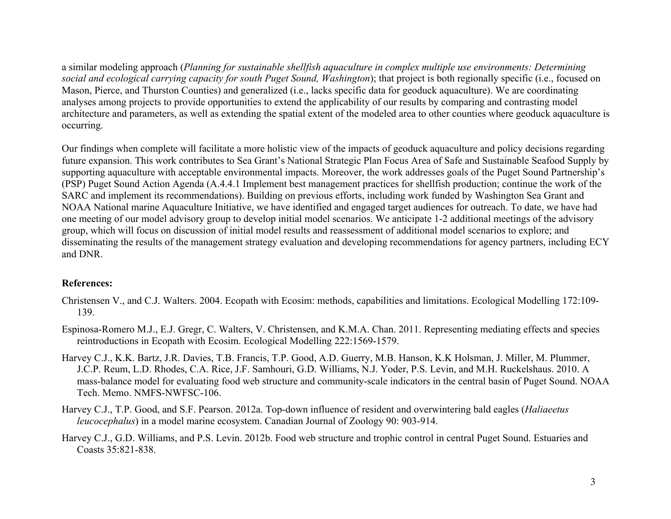a similar modeling approach (*Planning for sustainable shellfish aquaculture in complex multiple use environments: Determining social and ecological carrying capacity for south Puget Sound, Washington*); that project is both regionally specific (i.e., focused on Mason, Pierce, and Thurston Counties) and generalized (i.e., lacks specific data for geoduck aquaculture). We are coordinating analyses among projects to provide opportunities to extend the applicability of our results by comparing and contrasting model architecture and parameters, as well as extending the spatial extent of the modeled area to other counties where geoduck aquaculture is occurring.

Our findings when complete will facilitate a more holistic view of the impacts of geoduck aquaculture and policy decisions regarding future expansion. This work contributes to Sea Grant's National Strategic Plan Focus Area of Safe and Sustainable Seafood Supply by supporting aquaculture with acceptable environmental impacts. Moreover, the work addresses goals of the Puget Sound Partnership's (PSP) Puget Sound Action Agenda (A.4.4.1 Implement best management practices for shellfish production; continue the work of the SARC and implement its recommendations). Building on previous efforts, including work funded by Washington Sea Grant and NOAA National marine Aquaculture Initiative, we have identified and engaged target audiences for outreach. To date, we have had one meeting of our model advisory group to develop initial model scenarios. We anticipate 1-2 additional meetings of the advisory group, which will focus on discussion of initial model results and reassessment of additional model scenarios to explore; and disseminating the results of the management strategy evaluation and developing recommendations for agency partners, including ECY and DNR.

#### **References:**

- Christensen V., and C.J. Walters. 2004. Ecopath with Ecosim: methods, capabilities and limitations. Ecological Modelling 172:109- 139.
- Espinosa-Romero M.J., E.J. Gregr, C. Walters, V. Christensen, and K.M.A. Chan. 2011. Representing mediating effects and species reintroductions in Ecopath with Ecosim. Ecological Modelling 222:1569-1579.
- Harvey C.J., K.K. Bartz, J.R. Davies, T.B. Francis, T.P. Good, A.D. Guerry, M.B. Hanson, K.K Holsman, J. Miller, M. Plummer, J.C.P. Reum, L.D. Rhodes, C.A. Rice, J.F. Samhouri, G.D. Williams, N.J. Yoder, P.S. Levin, and M.H. Ruckelshaus. 2010. A mass-balance model for evaluating food web structure and community-scale indicators in the central basin of Puget Sound. NOAA Tech. Memo. NMFS-NWFSC-106.
- Harvey C.J., T.P. Good, and S.F. Pearson. 2012a. Top-down influence of resident and overwintering bald eagles (*Haliaeetus leucocephalus*) in a model marine ecosystem. Canadian Journal of Zoology 90: 903-914.
- Harvey C.J., G.D. Williams, and P.S. Levin. 2012b. Food web structure and trophic control in central Puget Sound. Estuaries and Coasts 35:821-838.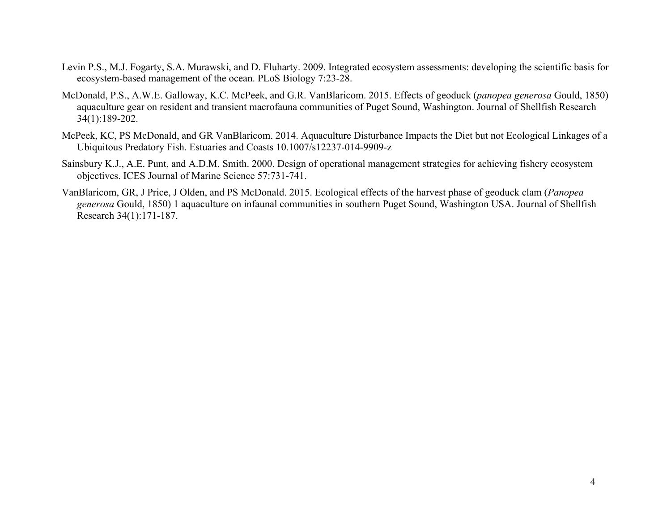- Levin P.S., M.J. Fogarty, S.A. Murawski, and D. Fluharty. 2009. Integrated ecosystem assessments: developing the scientific basis for ecosystem-based management of the ocean. PLoS Biology 7:23-28.
- McDonald, P.S., A.W.E. Galloway, K.C. McPeek, and G.R. VanBlaricom. 2015. Effects of geoduck (*panopea generosa* Gould, 1850) aquaculture gear on resident and transient macrofauna communities of Puget Sound, Washington. Journal of Shellfish Research 34(1):189-202.
- McPeek, KC, PS McDonald, and GR VanBlaricom. 2014. Aquaculture Disturbance Impacts the Diet but not Ecological Linkages of a Ubiquitous Predatory Fish. Estuaries and Coasts 10.1007/s12237-014-9909-z
- Sainsbury K.J., A.E. Punt, and A.D.M. Smith. 2000. Design of operational management strategies for achieving fishery ecosystem objectives. ICES Journal of Marine Science 57:731-741.
- VanBlaricom, GR, J Price, J Olden, and PS McDonald. 2015. Ecological effects of the harvest phase of geoduck clam (*Panopea generosa* Gould, 1850) 1 aquaculture on infaunal communities in southern Puget Sound, Washington USA. Journal of Shellfish Research 34(1):171-187.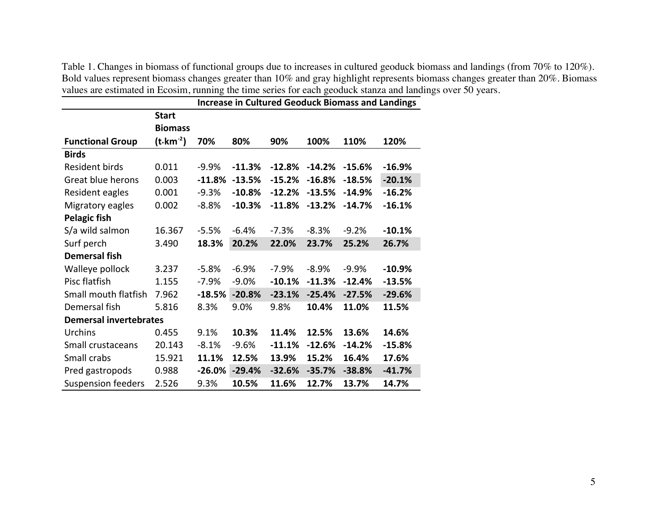Table 1. Changes in biomass of functional groups due to increases in cultured geoduck biomass and landings (from 70% to 120%). Bold values represent biomass changes greater than 10% and gray highlight represents biomass changes greater than 20%. Biomass values are estimated in Ecosim, running the time series for each geoduck stanza and landings over 50 years.

|                               |                     | <b>Increase in Cultured Geoduck Biomass and Landings</b> |          |          |          |          |          |  |
|-------------------------------|---------------------|----------------------------------------------------------|----------|----------|----------|----------|----------|--|
|                               | <b>Start</b>        |                                                          |          |          |          |          |          |  |
|                               | <b>Biomass</b>      |                                                          |          |          |          |          |          |  |
| <b>Functional Group</b>       | $(t \cdot km^{-2})$ | 70%                                                      | 80%      | 90%      | 100%     | 110%     | 120%     |  |
| <b>Birds</b>                  |                     |                                                          |          |          |          |          |          |  |
| Resident birds                | 0.011               | $-9.9%$                                                  | $-11.3%$ | $-12.8%$ | $-14.2%$ | $-15.6%$ | $-16.9%$ |  |
| Great blue herons             | 0.003               | $-11.8%$                                                 | $-13.5%$ | $-15.2%$ | $-16.8%$ | $-18.5%$ | $-20.1%$ |  |
| Resident eagles               | 0.001               | $-9.3%$                                                  | $-10.8%$ | $-12.2%$ | $-13.5%$ | $-14.9%$ | $-16.2%$ |  |
| Migratory eagles              | 0.002               | $-8.8%$                                                  | $-10.3%$ | $-11.8%$ | $-13.2%$ | $-14.7%$ | $-16.1%$ |  |
| <b>Pelagic fish</b>           |                     |                                                          |          |          |          |          |          |  |
| S/a wild salmon               | 16.367              | $-5.5%$                                                  | $-6.4%$  | $-7.3%$  | $-8.3%$  | $-9.2%$  | $-10.1%$ |  |
| Surf perch                    | 3.490               | 18.3%                                                    | 20.2%    | 22.0%    | 23.7%    | 25.2%    | 26.7%    |  |
| <b>Demersal fish</b>          |                     |                                                          |          |          |          |          |          |  |
| Walleye pollock               | 3.237               | $-5.8%$                                                  | $-6.9%$  | $-7.9%$  | $-8.9%$  | $-9.9%$  | $-10.9%$ |  |
| Pisc flatfish                 | 1.155               | $-7.9%$                                                  | $-9.0%$  | $-10.1%$ | $-11.3%$ | $-12.4%$ | $-13.5%$ |  |
| Small mouth flatfish          | 7.962               | $-18.5%$                                                 | $-20.8%$ | $-23.1%$ | $-25.4%$ | $-27.5%$ | $-29.6%$ |  |
| Demersal fish                 | 5.816               | 8.3%                                                     | 9.0%     | 9.8%     | 10.4%    | 11.0%    | 11.5%    |  |
| <b>Demersal invertebrates</b> |                     |                                                          |          |          |          |          |          |  |
| Urchins                       | 0.455               | 9.1%                                                     | 10.3%    | 11.4%    | 12.5%    | 13.6%    | 14.6%    |  |
| Small crustaceans             | 20.143              | $-8.1%$                                                  | $-9.6%$  | $-11.1%$ | $-12.6%$ | $-14.2%$ | $-15.8%$ |  |
| Small crabs                   | 15.921              | 11.1%                                                    | 12.5%    | 13.9%    | 15.2%    | 16.4%    | 17.6%    |  |
| Pred gastropods               | 0.988               | $-26.0%$                                                 | $-29.4%$ | $-32.6%$ | $-35.7%$ | $-38.8%$ | $-41.7%$ |  |
| <b>Suspension feeders</b>     | 2.526               | 9.3%                                                     | 10.5%    | 11.6%    | 12.7%    | 13.7%    | 14.7%    |  |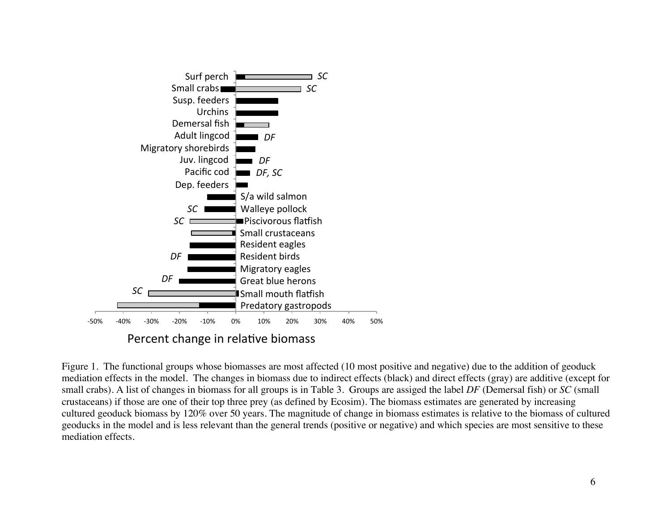

Percent change in relative biomass

Figure 1. The functional groups whose biomasses are most affected (10 most positive and negative) due to the addition of geoduck mediation effects in the model. The changes in biomass due to indirect effects (black) and direct effects (gray) are additive (except for small crabs). A list of changes in biomass for all groups is in Table 3. Groups are assiged the label *DF* (Demersal fish) or *SC* (small crustaceans) if those are one of their top three prey (as defined by Ecosim). The biomass estimates are generated by increasing cultured geoduck biomass by 120% over 50 years. The magnitude of change in biomass estimates is relative to the biomass of cultured geoducks in the model and is less relevant than the general trends (positive or negative) and which species are most sensitive to these mediation effects.